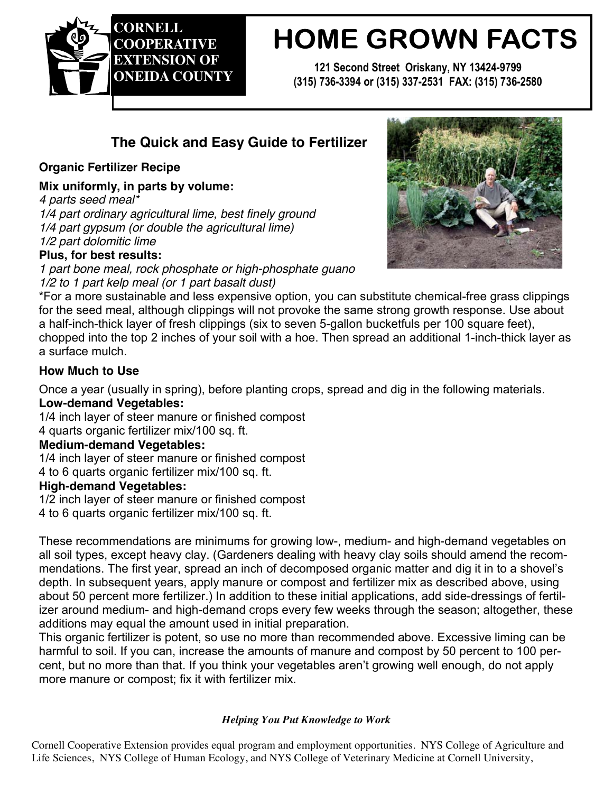

# **HOME GROWN FACTS**

**121 Second Street Oriskany, NY 13424-9799 (315) 736-3394 or (315) 337-2531 FAX: (315) 736-2580** 

# **The Quick and Easy Guide to Fertilizer**

# **Organic Fertilizer Recipe**

**Mix uniformly, in parts by volume:**

*4 parts seed meal\**

*1/4 part ordinary agricultural lime, best finely ground 1/4 part gypsum (or double the agricultural lime) 1/2 part dolomitic lime*

# **Plus, for best results:**

*1 part bone meal, rock phosphate or high-phosphate guano 1/2 to 1 part kelp meal (or 1 part basalt dust)*



\*For a more sustainable and less expensive option, you can substitute chemical-free grass clippings for the seed meal, although clippings will not provoke the same strong growth response. Use about a half-inch-thick layer of fresh clippings (six to seven 5-gallon bucketfuls per 100 square feet), chopped into the top 2 inches of your soil with a hoe. Then spread an additional 1-inch-thick layer as a surface mulch.

# **How Much to Use**

Once a year (usually in spring), before planting crops, spread and dig in the following materials.

# **Low-demand Vegetables:**

1/4 inch layer of steer manure or finished compost 4 quarts organic fertilizer mix/100 sq. ft.

#### **Medium-demand Vegetables:**

1/4 inch layer of steer manure or finished compost

4 to 6 quarts organic fertilizer mix/100 sq. ft.

#### **High-demand Vegetables:**

1/2 inch layer of steer manure or finished compost

4 to 6 quarts organic fertilizer mix/100 sq. ft.

These recommendations are minimums for growing low-, medium- and high-demand vegetables on all soil types, except heavy clay. (Gardeners dealing with heavy clay soils should amend the recommendations. The first year, spread an inch of decomposed organic matter and dig it in to a shovel's depth. In subsequent years, apply manure or compost and fertilizer mix as described above, using about 50 percent more fertilizer.) In addition to these initial applications, add side-dressings of fertilizer around medium- and high-demand crops every few weeks through the season; altogether, these additions may equal the amount used in initial preparation.

This organic fertilizer is potent, so use no more than recommended above. Excessive liming can be harmful to soil. If you can, increase the amounts of manure and compost by 50 percent to 100 percent, but no more than that. If you think your vegetables aren't growing well enough, do not apply more manure or compost; fix it with fertilizer mix.

#### *Helping You Put Knowledge to Work*

Cornell Cooperative Extension provides equal program and employment opportunities. NYS College of Agriculture and Life Sciences, NYS College of Human Ecology, and NYS College of Veterinary Medicine at Cornell University,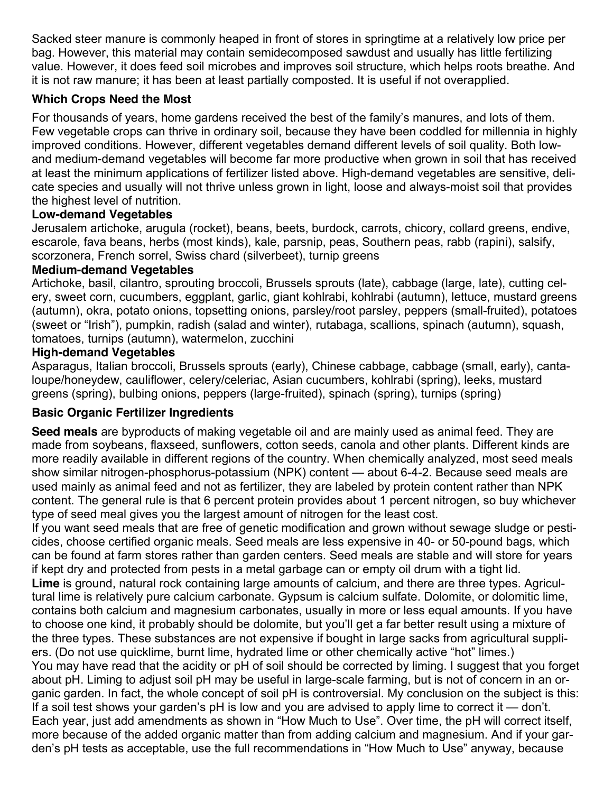Sacked steer manure is commonly heaped in front of stores in springtime at a relatively low price per bag. However, this material may contain semidecomposed sawdust and usually has little fertilizing value. However, it does feed soil microbes and improves soil structure, which helps roots breathe. And it is not raw manure; it has been at least partially composted. It is useful if not overapplied.

# **Which Crops Need the Most**

For thousands of years, home gardens received the best of the family's manures, and lots of them. Few vegetable crops can thrive in ordinary soil, because they have been coddled for millennia in highly improved conditions. However, different vegetables demand different levels of soil quality. Both lowand medium-demand vegetables will become far more productive when grown in soil that has received at least the minimum applications of fertilizer listed above. High-demand vegetables are sensitive, delicate species and usually will not thrive unless grown in light, loose and always-moist soil that provides the highest level of nutrition.

#### **Low-demand Vegetables**

Jerusalem artichoke, arugula (rocket), beans, beets, burdock, carrots, chicory, collard greens, endive, escarole, fava beans, herbs (most kinds), kale, parsnip, peas, Southern peas, rabb (rapini), salsify, scorzonera, French sorrel, Swiss chard (silverbeet), turnip greens

#### **Medium-demand Vegetables**

Artichoke, basil, cilantro, sprouting broccoli, Brussels sprouts (late), cabbage (large, late), cutting celery, sweet corn, cucumbers, eggplant, garlic, giant kohlrabi, kohlrabi (autumn), lettuce, mustard greens (autumn), okra, potato onions, topsetting onions, parsley/root parsley, peppers (small-fruited), potatoes (sweet or "Irish"), pumpkin, radish (salad and winter), rutabaga, scallions, spinach (autumn), squash, tomatoes, turnips (autumn), watermelon, zucchini

#### **High-demand Vegetables**

Asparagus, Italian broccoli, Brussels sprouts (early), Chinese cabbage, cabbage (small, early), cantaloupe/honeydew, cauliflower, celery/celeriac, Asian cucumbers, kohlrabi (spring), leeks, mustard greens (spring), bulbing onions, peppers (large-fruited), spinach (spring), turnips (spring)

#### **Basic Organic Fertilizer Ingredients**

**Seed meals** are byproducts of making vegetable oil and are mainly used as animal feed. They are made from soybeans, flaxseed, sunflowers, cotton seeds, canola and other plants. Different kinds are more readily available in different regions of the country. When chemically analyzed, most seed meals show similar nitrogen-phosphorus-potassium (NPK) content — about 6-4-2. Because seed meals are used mainly as animal feed and not as fertilizer, they are labeled by protein content rather than NPK content. The general rule is that 6 percent protein provides about 1 percent nitrogen, so buy whichever type of seed meal gives you the largest amount of nitrogen for the least cost.

If you want seed meals that are free of genetic modification and grown without sewage sludge or pesticides, choose certified organic meals. Seed meals are less expensive in 40- or 50-pound bags, which can be found at farm stores rather than garden centers. Seed meals are stable and will store for years if kept dry and protected from pests in a metal garbage can or empty oil drum with a tight lid.

**Lime** is ground, natural rock containing large amounts of calcium, and there are three types. Agricultural lime is relatively pure calcium carbonate. Gypsum is calcium sulfate. Dolomite, or dolomitic lime, contains both calcium and magnesium carbonates, usually in more or less equal amounts. If you have to choose one kind, it probably should be dolomite, but you'll get a far better result using a mixture of the three types. These substances are not expensive if bought in large sacks from agricultural suppliers. (Do not use quicklime, burnt lime, hydrated lime or other chemically active "hot" limes.)

You may have read that the acidity or pH of soil should be corrected by liming. I suggest that you forget about pH. Liming to adjust soil pH may be useful in large-scale farming, but is not of concern in an organic garden. In fact, the whole concept of soil pH is controversial. My conclusion on the subject is this: If a soil test shows your garden's pH is low and you are advised to apply lime to correct it — don't. Each year, just add amendments as shown in "How Much to Use". Over time, the pH will correct itself, more because of the added organic matter than from adding calcium and magnesium. And if your garden's pH tests as acceptable, use the full recommendations in "How Much to Use" anyway, because